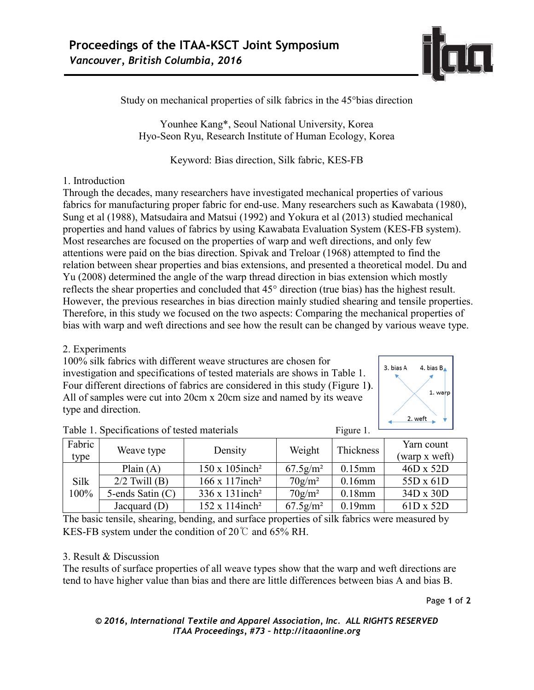

Study on mechanical properties of silk fabrics in the 45°bias direction

Younhee Kang\*, Seoul National University, Korea Hyo-Seon Ryu, Research Institute of Human Ecology, Korea

Keyword: Bias direction, Silk fabric, KES-FB

### 1. Introduction

Through the decades, many researchers have investigated mechanical properties of various fabrics for manufacturing proper fabric for end-use. Many researchers such as Kawabata (1980), Sung et al (1988), Matsudaira and Matsui (1992) and Yokura et al (2013) studied mechanical properties and hand values of fabrics by using Kawabata Evaluation System (KES-FB system). Most researches are focused on the properties of warp and weft directions, and only few attentions were paid on the bias direction. Spivak and Treloar (1968) attempted to find the relation between shear properties and bias extensions, and presented a theoretical model. Du and Yu (2008) determined the angle of the warp thread direction in bias extension which mostly reflects the shear properties and concluded that 45° direction (true bias) has the highest result. However, the previous researches in bias direction mainly studied shearing and tensile properties. Therefore, in this study we focused on the two aspects: Comparing the mechanical properties of bias with warp and weft directions and see how the result can be changed by various weave type.

## 2. Experiments

100% silk fabrics with different weave structures are chosen for investigation and specifications of tested materials are shows in Table 1. Four different directions of fabrics are considered in this study (Figure 1**)**. All of samples were cut into 20cm x 20cm size and named by its weave type and direction.



| Fabric       | Weave type       | Density                            | Weight                  | Thickness | Yarn count       |
|--------------|------------------|------------------------------------|-------------------------|-----------|------------------|
| type         |                  |                                    |                         |           | (warp x weft)    |
| Silk<br>100% | Plain $(A)$      | $150 \times 105$ inch <sup>2</sup> | $67.5$ g/m <sup>2</sup> | $0.15$ mm | $46D \times 52D$ |
|              | $2/2$ Twill (B)  | $166 \times 117$ inch <sup>2</sup> | $70$ g/m <sup>2</sup>   | $0.16$ mm | 55D x 61D        |
|              | 5-ends Satin (C) | $336 \times 131$ inch <sup>2</sup> | $70$ g/m <sup>2</sup>   | $0.18$ mm | 34D x 30D        |
|              | Jacquard $(D)$   | $152 \times 114$ inch <sup>2</sup> | $67.5$ g/m <sup>2</sup> | $0.19$ mm | $61D \times 52D$ |

| Table 1. Specifications of tested materials | Figure 1. |
|---------------------------------------------|-----------|
|---------------------------------------------|-----------|

The basic tensile, shearing, bending, and surface properties of silk fabrics were measured by KES-FB system under the condition of 20℃ and 65% RH.

#### 3. Result & Discussion

The results of surface properties of all weave types show that the warp and weft directions are tend to have higher value than bias and there are little differences between bias A and bias B.

Page **1** of **2**

#### *© 2016, International Textile and Apparel Association, Inc. ALL RIGHTS RESERVED ITAA Proceedings, #73 – http://itaaonline.org*